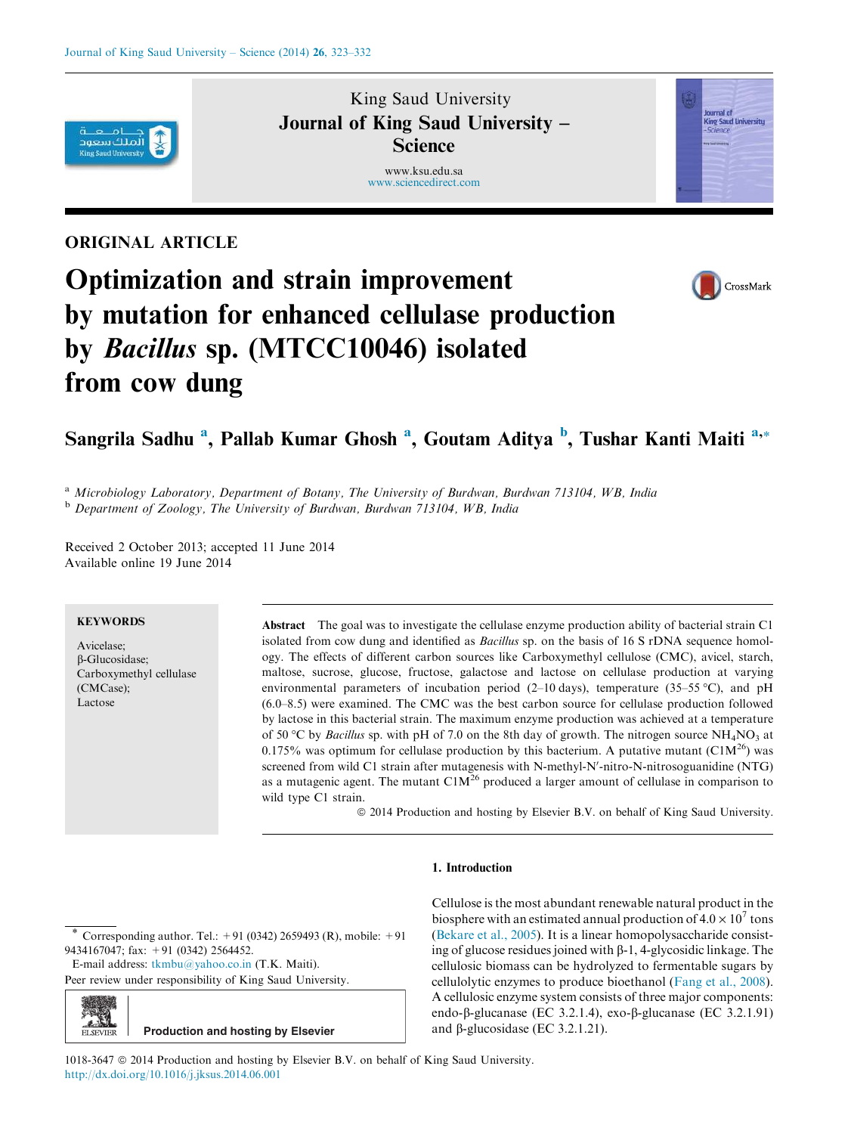

## King Saud University Journal of King Saud University – **Science**

www.ksu.edu.sa www.sciencedirect.com



### ORIGINAL ARTICLE



# Optimization and strain improvement by mutation for enhanced cellulase production by Bacillus sp. (MTCC10046) isolated from cow dung

## Sangrila Sadhu <sup>a</sup>, Pallab Kumar Ghosh <sup>a</sup>, Goutam Aditya <sup>b</sup>, Tushar Kanti Maiti <sup>a,</sup>\*

<sup>a</sup> Microbiology Laboratory, Department of Botany, The University of Burdwan, Burdwan 713104, WB, India <sup>b</sup> Department of Zoology, The University of Burdwan, Burdwan 713104, WB, India

Received 2 October 2013; accepted 11 June 2014 Available online 19 June 2014

#### **KEYWORDS**

Avicelase; b-Glucosidase; Carboxymethyl cellulase (CMCase); Lactose

Abstract The goal was to investigate the cellulase enzyme production ability of bacterial strain C1 isolated from cow dung and identified as Bacillus sp. on the basis of 16 S rDNA sequence homology. The effects of different carbon sources like Carboxymethyl cellulose (CMC), avicel, starch, maltose, sucrose, glucose, fructose, galactose and lactose on cellulase production at varying environmental parameters of incubation period (2-10 days), temperature (35-55 °C), and pH (6.0–8.5) were examined. The CMC was the best carbon source for cellulase production followed by lactose in this bacterial strain. The maximum enzyme production was achieved at a temperature of 50 °C by Bacillus sp. with pH of 7.0 on the 8th day of growth. The nitrogen source NH<sub>4</sub>NO<sub>3</sub> at 0.175% was optimum for cellulase production by this bacterium. A putative mutant ( $C1M^{26}$ ) was screened from wild C1 strain after mutagenesis with N-methyl-N'-nitro-N-nitrosoguanidine (NTG) as a mutagenic agent. The mutant  $\text{C1M}^{26}$  produced a larger amount of cellulase in comparison to wild type C1 strain.

ª 2014 Production and hosting by Elsevier B.V. on behalf of King Saud University.

#### 1. Introduction

Corresponding author. Tel.:  $+91 (0342) 2659493 (R)$ , mobile:  $+91$ 9434167047; fax: +91 (0342) 2564452.

E-mail address: tkmbu@yahoo.co.in (T.K. Maiti).

Peer review under responsibility of King Saud University.



Cellulose is the most abundant renewable natural product in the biosphere with an estimated annual production of  $4.0 \times 10^7$  tons (Bekare et al., 2005). It is a linear homopolysaccharide consisting of glucose residues joined with  $\beta$ -1, 4-glycosidic linkage. The cellulosic biomass can be hydrolyzed to fermentable sugars by cellulolytic enzymes to produce bioethanol (Fang et al., 2008). A cellulosic enzyme system consists of three major components: endo-β-glucanase (EC 3.2.1.4), exo-β-glucanase (EC 3.2.1.91) and  $\beta$ -glucosidase (EC 3.2.1.21).

1018-3647 ª 2014 Production and hosting by Elsevier B.V. on behalf of King Saud University. http://dx.doi.org/10.1016/j.jksus.2014.06.001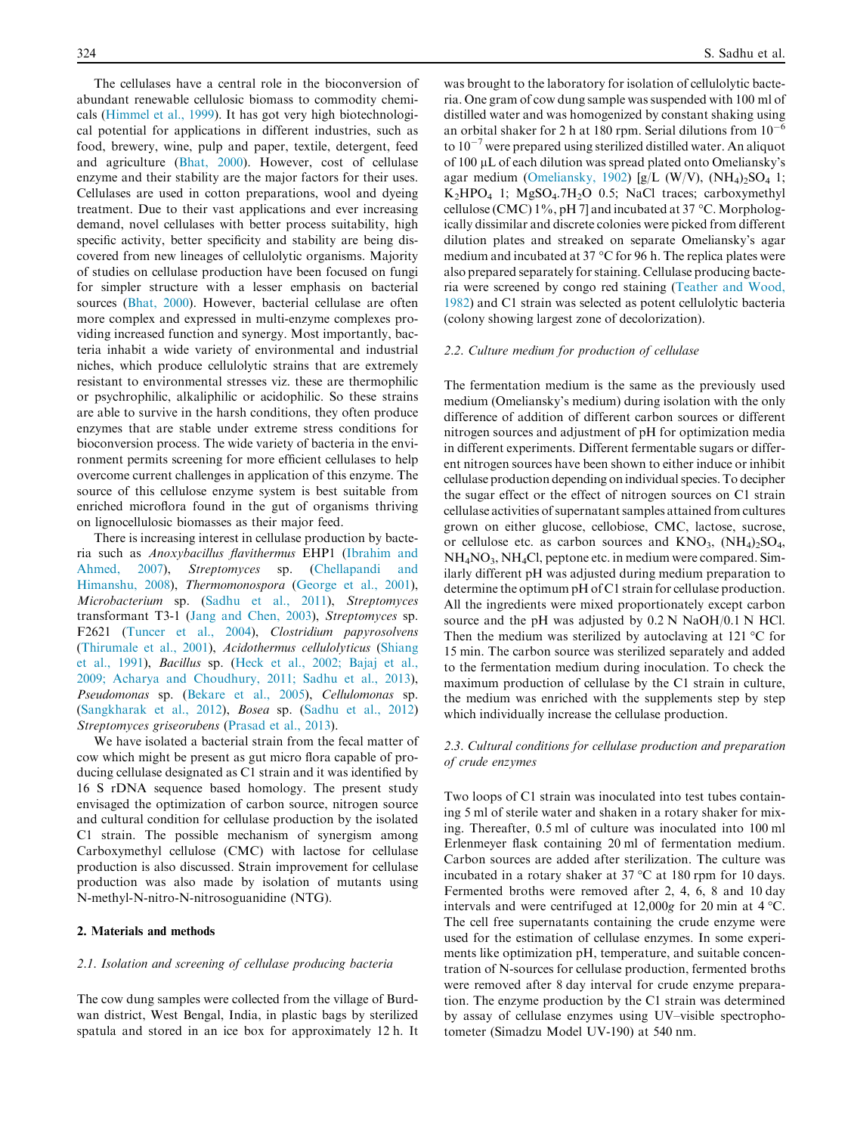The cellulases have a central role in the bioconversion of abundant renewable cellulosic biomass to commodity chemicals (Himmel et al., 1999). It has got very high biotechnological potential for applications in different industries, such as food, brewery, wine, pulp and paper, textile, detergent, feed and agriculture (Bhat, 2000). However, cost of cellulase enzyme and their stability are the major factors for their uses. Cellulases are used in cotton preparations, wool and dyeing treatment. Due to their vast applications and ever increasing demand, novel cellulases with better process suitability, high specific activity, better specificity and stability are being discovered from new lineages of cellulolytic organisms. Majority of studies on cellulase production have been focused on fungi for simpler structure with a lesser emphasis on bacterial sources (Bhat, 2000). However, bacterial cellulase are often more complex and expressed in multi-enzyme complexes providing increased function and synergy. Most importantly, bacteria inhabit a wide variety of environmental and industrial niches, which produce cellulolytic strains that are extremely resistant to environmental stresses viz. these are thermophilic or psychrophilic, alkaliphilic or acidophilic. So these strains are able to survive in the harsh conditions, they often produce enzymes that are stable under extreme stress conditions for bioconversion process. The wide variety of bacteria in the environment permits screening for more efficient cellulases to help overcome current challenges in application of this enzyme. The source of this cellulose enzyme system is best suitable from enriched microflora found in the gut of organisms thriving on lignocellulosic biomasses as their major feed.

There is increasing interest in cellulase production by bacteria such as Anoxybacillus flavithermus EHP1 (Ibrahim and Ahmed, 2007), Streptomyces sp. (Chellapandi and Himanshu, 2008), Thermomonospora (George et al., 2001), Microbacterium sp. (Sadhu et al., 2011), Streptomyces transformant T3-1 (Jang and Chen, 2003), Streptomyces sp. F2621 (Tuncer et al., 2004), Clostridium papyrosolvens (Thirumale et al., 2001), Acidothermus cellulolyticus (Shiang et al., 1991), Bacillus sp. (Heck et al., 2002; Bajaj et al., 2009; Acharya and Choudhury, 2011; Sadhu et al., 2013), Pseudomonas sp. (Bekare et al., 2005), Cellulomonas sp. (Sangkharak et al., 2012), Bosea sp. (Sadhu et al., 2012) Streptomyces griseorubens (Prasad et al., 2013).

We have isolated a bacterial strain from the fecal matter of cow which might be present as gut micro flora capable of producing cellulase designated as C1 strain and it was identified by 16 S rDNA sequence based homology. The present study envisaged the optimization of carbon source, nitrogen source and cultural condition for cellulase production by the isolated C1 strain. The possible mechanism of synergism among Carboxymethyl cellulose (CMC) with lactose for cellulase production is also discussed. Strain improvement for cellulase production was also made by isolation of mutants using N-methyl-N-nitro-N-nitrosoguanidine (NTG).

#### 2. Materials and methods

#### 2.1. Isolation and screening of cellulase producing bacteria

The cow dung samples were collected from the village of Burdwan district, West Bengal, India, in plastic bags by sterilized spatula and stored in an ice box for approximately 12 h. It

was brought to the laboratory for isolation of cellulolytic bacteria. One gram of cow dung sample was suspended with 100 ml of distilled water and was homogenized by constant shaking using an orbital shaker for 2 h at 180 rpm. Serial dilutions from  $10^{-6}$ to  $10^{-7}$  were prepared using sterilized distilled water. An aliquot of 100 µL of each dilution was spread plated onto Omeliansky's agar medium (Omeliansky, 1902) [g/L (W/V),  $(NH<sub>4</sub>)<sub>2</sub>SO<sub>4</sub>$  1;  $K<sub>2</sub>HPO<sub>4</sub>$  1; MgSO<sub>4</sub>.7H<sub>2</sub>O 0.5; NaCl traces; carboxymethyl cellulose (CMC)  $1\%$ , pH 7] and incubated at 37 °C. Morphologically dissimilar and discrete colonies were picked from different dilution plates and streaked on separate Omeliansky's agar medium and incubated at 37  $\mathrm{^{\circ}C}$  for 96 h. The replica plates were also prepared separately for staining. Cellulase producing bacteria were screened by congo red staining (Teather and Wood, 1982) and C1 strain was selected as potent cellulolytic bacteria (colony showing largest zone of decolorization).

#### 2.2. Culture medium for production of cellulase

The fermentation medium is the same as the previously used medium (Omeliansky's medium) during isolation with the only difference of addition of different carbon sources or different nitrogen sources and adjustment of pH for optimization media in different experiments. Different fermentable sugars or different nitrogen sources have been shown to either induce or inhibit cellulase production depending on individual species. To decipher the sugar effect or the effect of nitrogen sources on C1 strain cellulase activities of supernatant samples attained from cultures grown on either glucose, cellobiose, CMC, lactose, sucrose, or cellulose etc. as carbon sources and  $KNO_3$ ,  $(NH_4)_2SO_4$ ,  $NH<sub>4</sub>NO<sub>3</sub>$ , NH<sub>4</sub>Cl, peptone etc. in medium were compared. Similarly different pH was adjusted during medium preparation to determine the optimum pH of C1 strain for cellulase production. All the ingredients were mixed proportionately except carbon source and the pH was adjusted by 0.2 N NaOH/0.1 N HCl. Then the medium was sterilized by autoclaving at 121  $\rm{°C}$  for 15 min. The carbon source was sterilized separately and added to the fermentation medium during inoculation. To check the maximum production of cellulase by the C1 strain in culture, the medium was enriched with the supplements step by step which individually increase the cellulase production.

#### 2.3. Cultural conditions for cellulase production and preparation of crude enzymes

Two loops of C1 strain was inoculated into test tubes containing 5 ml of sterile water and shaken in a rotary shaker for mixing. Thereafter, 0.5 ml of culture was inoculated into 100 ml Erlenmeyer flask containing 20 ml of fermentation medium. Carbon sources are added after sterilization. The culture was incubated in a rotary shaker at  $37^{\circ}$ C at 180 rpm for 10 days. Fermented broths were removed after 2, 4, 6, 8 and 10 day intervals and were centrifuged at  $12,000g$  for 20 min at 4 °C. The cell free supernatants containing the crude enzyme were used for the estimation of cellulase enzymes. In some experiments like optimization pH, temperature, and suitable concentration of N-sources for cellulase production, fermented broths were removed after 8 day interval for crude enzyme preparation. The enzyme production by the C1 strain was determined by assay of cellulase enzymes using UV–visible spectrophotometer (Simadzu Model UV-190) at 540 nm.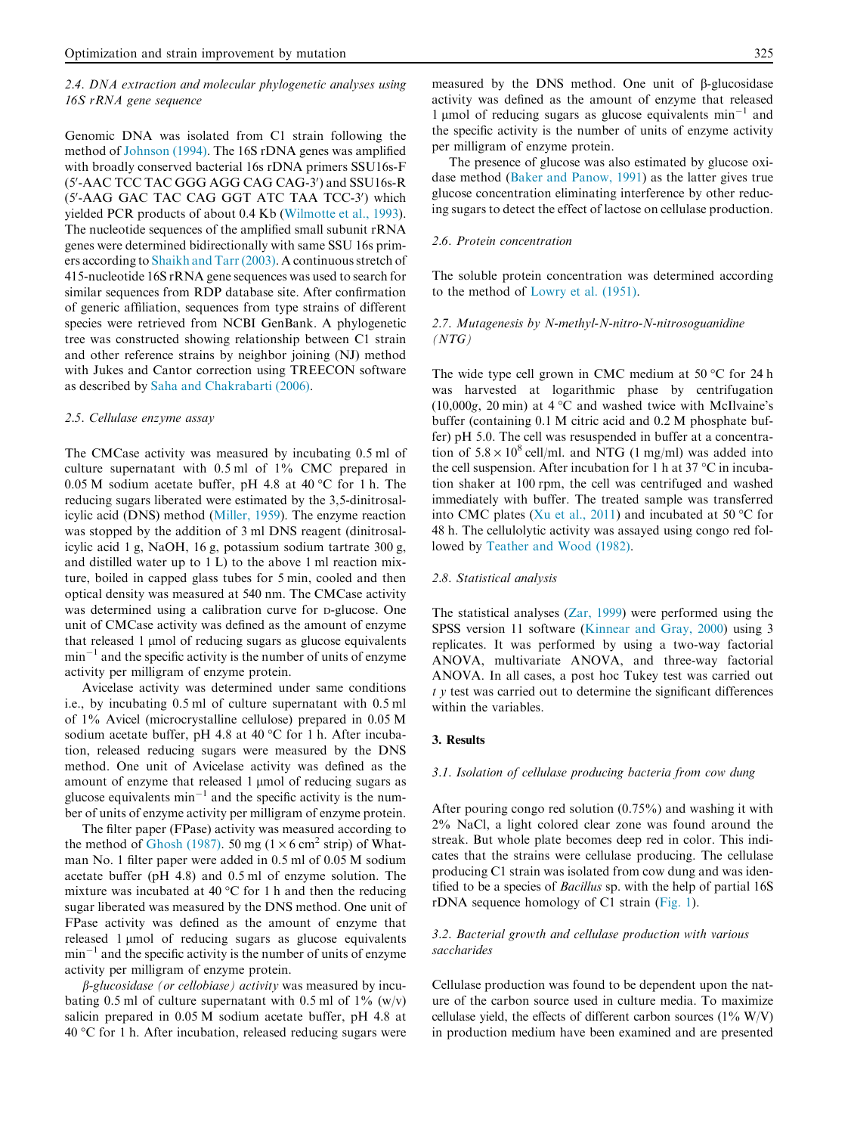#### 2.4. DNA extraction and molecular phylogenetic analyses using 16S rRNA gene sequence

Genomic DNA was isolated from C1 strain following the method of Johnson (1994). The 16S rDNA genes was amplified with broadly conserved bacterial 16s rDNA primers SSU16s-F (5'-AAC TCC TAC GGG AGG CAG CAG-3') and SSU16s-R (5'-AAG GAC TAC CAG GGT ATC TAA TCC-3') which yielded PCR products of about 0.4 Kb (Wilmotte et al., 1993). The nucleotide sequences of the amplified small subunit rRNA genes were determined bidirectionally with same SSU 16s primers according to Shaikh and Tarr (2003). A continuous stretch of 415-nucleotide 16S rRNA gene sequences was used to search for similar sequences from RDP database site. After confirmation of generic affiliation, sequences from type strains of different species were retrieved from NCBI GenBank. A phylogenetic tree was constructed showing relationship between C1 strain and other reference strains by neighbor joining (NJ) method with Jukes and Cantor correction using TREECON software as described by Saha and Chakrabarti (2006).

#### 2.5. Cellulase enzyme assay

The CMCase activity was measured by incubating 0.5 ml of culture supernatant with 0.5 ml of 1% CMC prepared in  $0.05$  M sodium acetate buffer, pH 4.8 at 40 °C for 1 h. The reducing sugars liberated were estimated by the 3,5-dinitrosalicylic acid (DNS) method (Miller, 1959). The enzyme reaction was stopped by the addition of 3 ml DNS reagent (dinitrosalicylic acid 1 g, NaOH, 16 g, potassium sodium tartrate 300 g, and distilled water up to 1 L) to the above 1 ml reaction mixture, boiled in capped glass tubes for 5 min, cooled and then optical density was measured at 540 nm. The CMCase activity was determined using a calibration curve for <sup>D</sup>-glucose. One unit of CMCase activity was defined as the amount of enzyme that released  $1 \mu$ mol of reducing sugars as glucose equivalents  $min^{-1}$  and the specific activity is the number of units of enzyme activity per milligram of enzyme protein.

Avicelase activity was determined under same conditions i.e., by incubating 0.5 ml of culture supernatant with 0.5 ml of 1% Avicel (microcrystalline cellulose) prepared in 0.05 M sodium acetate buffer, pH 4.8 at 40 °C for 1 h. After incubation, released reducing sugars were measured by the DNS method. One unit of Avicelase activity was defined as the amount of enzyme that released 1 µmol of reducing sugars as glucose equivalents  $min^{-1}$  and the specific activity is the number of units of enzyme activity per milligram of enzyme protein.

The filter paper (FPase) activity was measured according to the method of Ghosh (1987). 50 mg ( $1 \times 6$  cm<sup>2</sup> strip) of Whatman No. 1 filter paper were added in 0.5 ml of 0.05 M sodium acetate buffer (pH 4.8) and 0.5 ml of enzyme solution. The mixture was incubated at 40  $^{\circ}$ C for 1 h and then the reducing sugar liberated was measured by the DNS method. One unit of FPase activity was defined as the amount of enzyme that released 1 µmol of reducing sugars as glucose equivalents  $min^{-1}$  and the specific activity is the number of units of enzyme activity per milligram of enzyme protein.

 $\beta$ -glucosidase (or cellobiase) activity was measured by incubating 0.5 ml of culture supernatant with 0.5 ml of  $1\%$  (w/v) salicin prepared in 0.05 M sodium acetate buffer, pH 4.8 at 40 °C for 1 h. After incubation, released reducing sugars were

measured by the DNS method. One unit of b-glucosidase activity was defined as the amount of enzyme that released 1 µmol of reducing sugars as glucose equivalents  $min^{-1}$  and the specific activity is the number of units of enzyme activity per milligram of enzyme protein.

The presence of glucose was also estimated by glucose oxidase method (Baker and Panow, 1991) as the latter gives true glucose concentration eliminating interference by other reducing sugars to detect the effect of lactose on cellulase production.

#### 2.6. Protein concentration

The soluble protein concentration was determined according to the method of Lowry et al. (1951).

#### 2.7. Mutagenesis by N-methyl-N-nitro-N-nitrosoguanidine  $(NTG)$

The wide type cell grown in CMC medium at 50  $\rm ^{o}C$  for 24 h was harvested at logarithmic phase by centrifugation (10,000g, 20 min) at  $4 °C$  and washed twice with McIlvaine's buffer (containing 0.1 M citric acid and 0.2 M phosphate buffer) pH 5.0. The cell was resuspended in buffer at a concentration of  $5.8 \times 10^8$  cell/ml. and NTG (1 mg/ml) was added into the cell suspension. After incubation for 1 h at 37  $\mathrm{^{\circ}C}$  in incubation shaker at 100 rpm, the cell was centrifuged and washed immediately with buffer. The treated sample was transferred into CMC plates (Xu et al., 2011) and incubated at 50  $^{\circ}$ C for 48 h. The cellulolytic activity was assayed using congo red followed by Teather and Wood (1982).

#### 2.8. Statistical analysis

The statistical analyses (Zar, 1999) were performed using the SPSS version 11 software (Kinnear and Gray, 2000) using 3 replicates. It was performed by using a two-way factorial ANOVA, multivariate ANOVA, and three-way factorial ANOVA. In all cases, a post hoc Tukey test was carried out  $t \, y$  test was carried out to determine the significant differences within the variables.

#### 3. Results

#### 3.1. Isolation of cellulase producing bacteria from cow dung

After pouring congo red solution (0.75%) and washing it with 2% NaCl, a light colored clear zone was found around the streak. But whole plate becomes deep red in color. This indicates that the strains were cellulase producing. The cellulase producing C1 strain was isolated from cow dung and was identified to be a species of Bacillus sp. with the help of partial 16S rDNA sequence homology of C1 strain (Fig. 1).

#### 3.2. Bacterial growth and cellulase production with various saccharides

Cellulase production was found to be dependent upon the nature of the carbon source used in culture media. To maximize cellulase yield, the effects of different carbon sources  $(1\% \text{ W/V})$ in production medium have been examined and are presented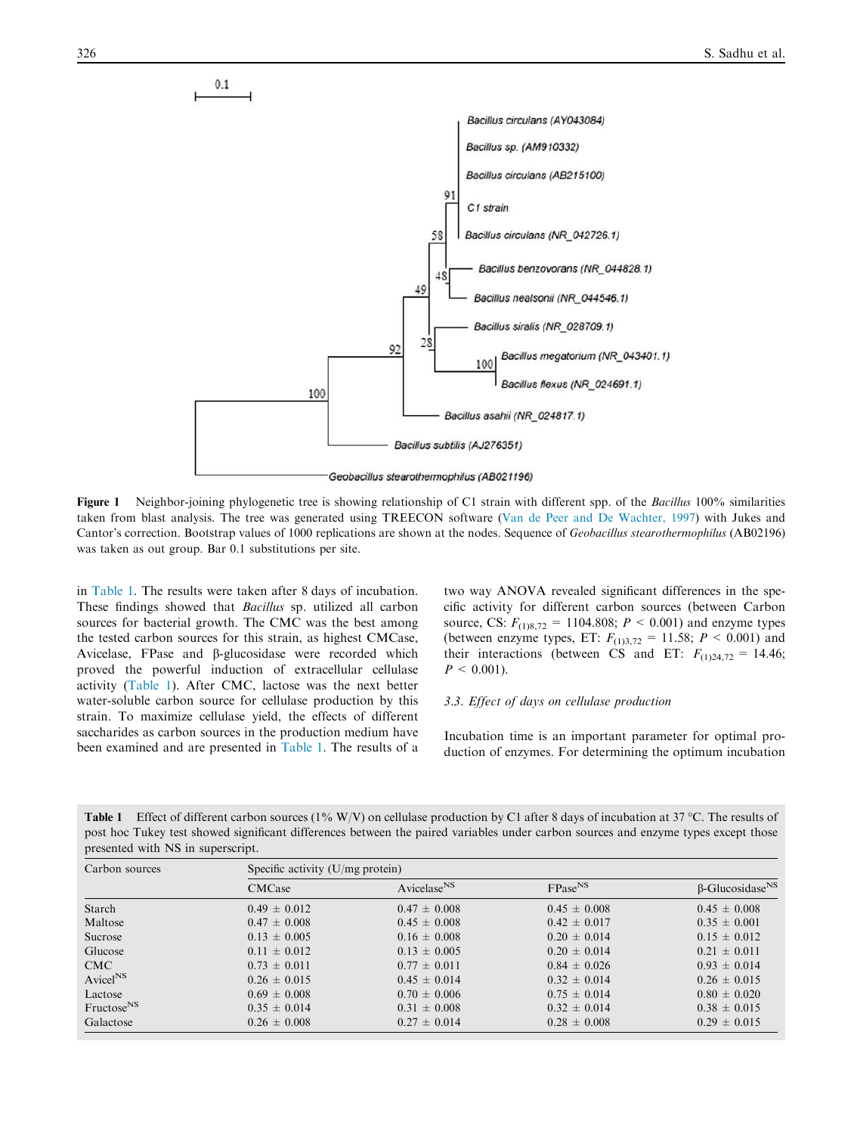

Figure 1 Neighbor-joining phylogenetic tree is showing relationship of C1 strain with different spp. of the Bacillus 100% similarities taken from blast analysis. The tree was generated using TREECON software (Van de Peer and De Wachter, 1997) with Jukes and Cantor's correction. Bootstrap values of 1000 replications are shown at the nodes. Sequence of Geobacillus stearothermophilus (AB02196) was taken as out group. Bar 0.1 substitutions per site.

in Table 1. The results were taken after 8 days of incubation. These findings showed that Bacillus sp. utilized all carbon sources for bacterial growth. The CMC was the best among the tested carbon sources for this strain, as highest CMCase, Avicelase, FPase and  $\beta$ -glucosidase were recorded which proved the powerful induction of extracellular cellulase activity (Table 1). After CMC, lactose was the next better water-soluble carbon source for cellulase production by this strain. To maximize cellulase yield, the effects of different saccharides as carbon sources in the production medium have been examined and are presented in Table 1. The results of a two way ANOVA revealed significant differences in the specific activity for different carbon sources (between Carbon source, CS:  $F_{(1)8,72} = 1104.808$ ;  $P < 0.001$ ) and enzyme types (between enzyme types, ET:  $F_{(1)3,72} = 11.58; P \le 0.001$ ) and their interactions (between CS and ET:  $F_{(1)24,72} = 14.46$ ;  $P < 0.001$ ).

#### 3.3. Effect of days on cellulase production

Incubation time is an important parameter for optimal production of enzymes. For determining the optimum incubation

Table 1 Effect of different carbon sources ( $1\%$  W/V) on cellulase production by C1 after 8 days of incubation at 37 °C. The results of post hoc Tukey test showed significant differences between the paired variables under carbon sources and enzyme types except those presented with NS in superscript.

| Carbon sources               | Specific activity $(U/mg)$ protein) |                         |                     |                                    |
|------------------------------|-------------------------------------|-------------------------|---------------------|------------------------------------|
|                              | <b>CMCase</b>                       | Avicelase <sup>NS</sup> | FPase <sup>NS</sup> | $\beta$ -Glucosidase <sup>NS</sup> |
| Starch                       | $0.49 \pm 0.012$                    | $0.47 \pm 0.008$        | $0.45 \pm 0.008$    | $0.45 \pm 0.008$                   |
| Maltose                      | $0.47 \pm 0.008$                    | $0.45 \pm 0.008$        | $0.42 \pm 0.017$    | $0.35 \pm 0.001$                   |
| Sucrose                      | $0.13 \pm 0.005$                    | $0.16 \pm 0.008$        | $0.20 \pm 0.014$    | $0.15 \pm 0.012$                   |
| Glucose                      | $0.11 \pm 0.012$                    | $0.13 \pm 0.005$        | $0.20 \pm 0.014$    | $0.21 \pm 0.011$                   |
| CMC                          | $0.73 \pm 0.011$                    | $0.77 \pm 0.011$        | $0.84 \pm 0.026$    | $0.93 \pm 0.014$                   |
| $\text{Avice}$ <sup>NS</sup> | $0.26 \pm 0.015$                    | $0.45 \pm 0.014$        | $0.32 \pm 0.014$    | $0.26 \pm 0.015$                   |
| Lactose                      | $0.69 \pm 0.008$                    | $0.70 \pm 0.006$        | $0.75 \pm 0.014$    | $0.80 \pm 0.020$                   |
| Fructose <sup>NS</sup>       | $0.35 \pm 0.014$                    | $0.31 \pm 0.008$        | $0.32 \pm 0.014$    | $0.38 \pm 0.015$                   |
| Galactose                    | $0.26 \pm 0.008$                    | $0.27 \pm 0.014$        | $0.28 \pm 0.008$    | $0.29 \pm 0.015$                   |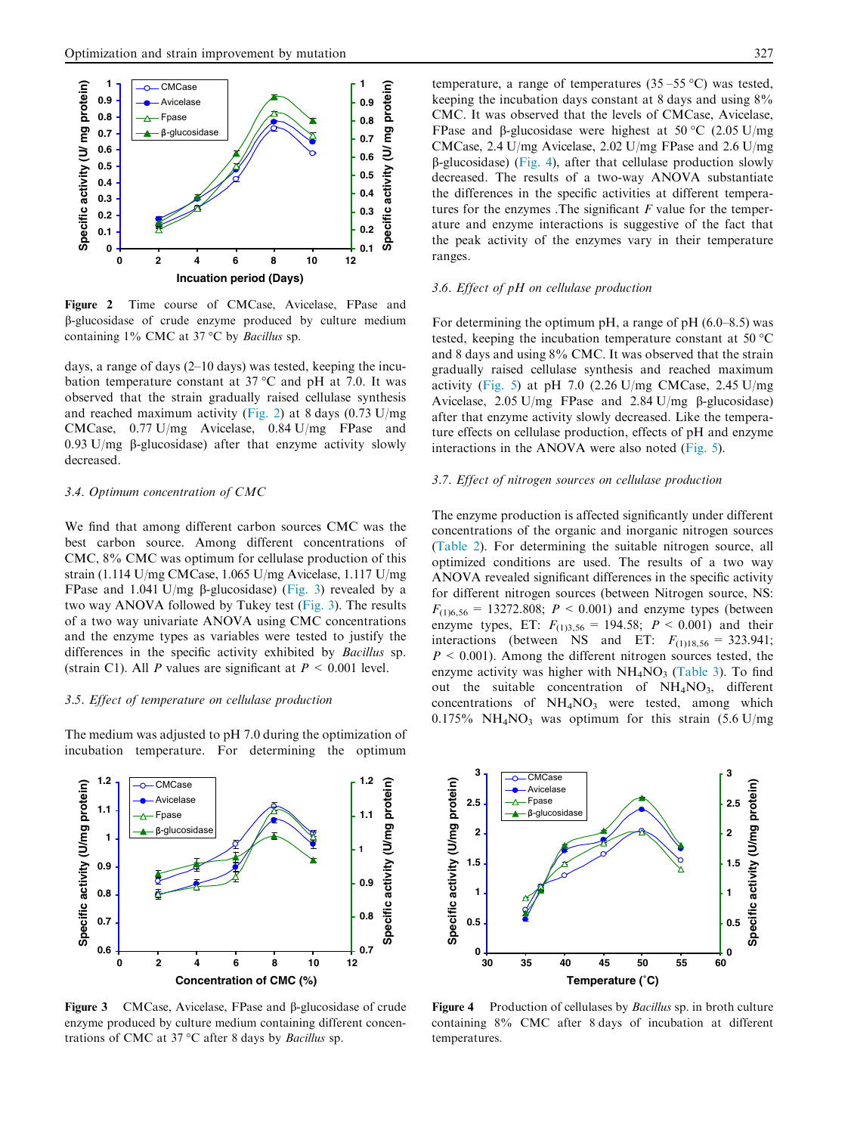

Figure 2 Time course of CMCase, Avicelase, FPase and b-glucosidase of crude enzyme produced by culture medium containing  $1\%$  CMC at 37 °C by *Bacillus* sp.

days, a range of days (2–10 days) was tested, keeping the incubation temperature constant at  $37^{\circ}$ C and pH at 7.0. It was observed that the strain gradually raised cellulase synthesis and reached maximum activity (Fig. 2) at 8 days (0.73 U/mg CMCase, 0.77 U/mg Avicelase, 0.84 U/mg FPase and 0.93 U/mg  $\beta$ -glucosidase) after that enzyme activity slowly decreased.

#### 3.4. Optimum concentration of CMC

We find that among different carbon sources CMC was the best carbon source. Among different concentrations of CMC, 8% CMC was optimum for cellulase production of this strain (1.114 U/mg CMCase, 1.065 U/mg Avicelase, 1.117 U/mg FPase and 1.041 U/mg b-glucosidase) (Fig. 3) revealed by a two way ANOVA followed by Tukey test (Fig. 3). The results of a two way univariate ANOVA using CMC concentrations and the enzyme types as variables were tested to justify the differences in the specific activity exhibited by Bacillus sp. (strain C1). All P values are significant at  $P < 0.001$  level.

#### 3.5. Effect of temperature on cellulase production

The medium was adjusted to pH 7.0 during the optimization of incubation temperature. For determining the optimum



Figure 3 CMCase, Avicelase, FPase and  $\beta$ -glucosidase of crude enzyme produced by culture medium containing different concentrations of CMC at 37 °C after 8 days by Bacillus sp.

temperature, a range of temperatures  $(35-55 °C)$  was tested, keeping the incubation days constant at 8 days and using 8% CMC. It was observed that the levels of CMCase, Avicelase, FPase and  $\beta$ -glucosidase were highest at 50 °C (2.05 U/mg CMCase, 2.4 U/mg Avicelase, 2.02 U/mg FPase and 2.6 U/mg  $\beta$ -glucosidase) (Fig. 4), after that cellulase production slowly decreased. The results of a two-way ANOVA substantiate the differences in the specific activities at different temperatures for the enzymes . The significant  $F$  value for the temperature and enzyme interactions is suggestive of the fact that the peak activity of the enzymes vary in their temperature ranges.

#### 3.6. Effect of pH on cellulase production

For determining the optimum pH, a range of pH  $(6.0-8.5)$  was tested, keeping the incubation temperature constant at 50 °C and 8 days and using 8% CMC. It was observed that the strain gradually raised cellulase synthesis and reached maximum activity (Fig. 5) at pH 7.0 (2.26 U/mg CMCase, 2.45 U/mg Avicelase, 2.05 U/mg FPase and 2.84 U/mg  $\beta$ -glucosidase) after that enzyme activity slowly decreased. Like the temperature effects on cellulase production, effects of pH and enzyme interactions in the ANOVA were also noted (Fig. 5).

#### 3.7. Effect of nitrogen sources on cellulase production

The enzyme production is affected significantly under different concentrations of the organic and inorganic nitrogen sources (Table 2). For determining the suitable nitrogen source, all optimized conditions are used. The results of a two way ANOVA revealed significant differences in the specific activity for different nitrogen sources (between Nitrogen source, NS:  $F_{(1)6,56} = 13272.808$ ;  $P < 0.001$ ) and enzyme types (between enzyme types, ET:  $F_{(1)3,56} = 194.58$ ;  $P \le 0.001$ ) and their interactions (between NS and ET:  $F_{(1)18,56} = 323.941$ ;  $P \leq 0.001$ ). Among the different nitrogen sources tested, the enzyme activity was higher with  $NH<sub>4</sub>NO<sub>3</sub>$  (Table 3). To find out the suitable concentration of  $NH<sub>4</sub>NO<sub>3</sub>$ , different concentrations of  $NH<sub>4</sub>NO<sub>3</sub>$  were tested, among which  $0.175\%$  NH<sub>4</sub>NO<sub>3</sub> was optimum for this strain  $(5.6 \text{ U/mg})$ 



Figure 4 Production of cellulases by *Bacillus* sp. in broth culture containing 8% CMC after 8 days of incubation at different temperatures.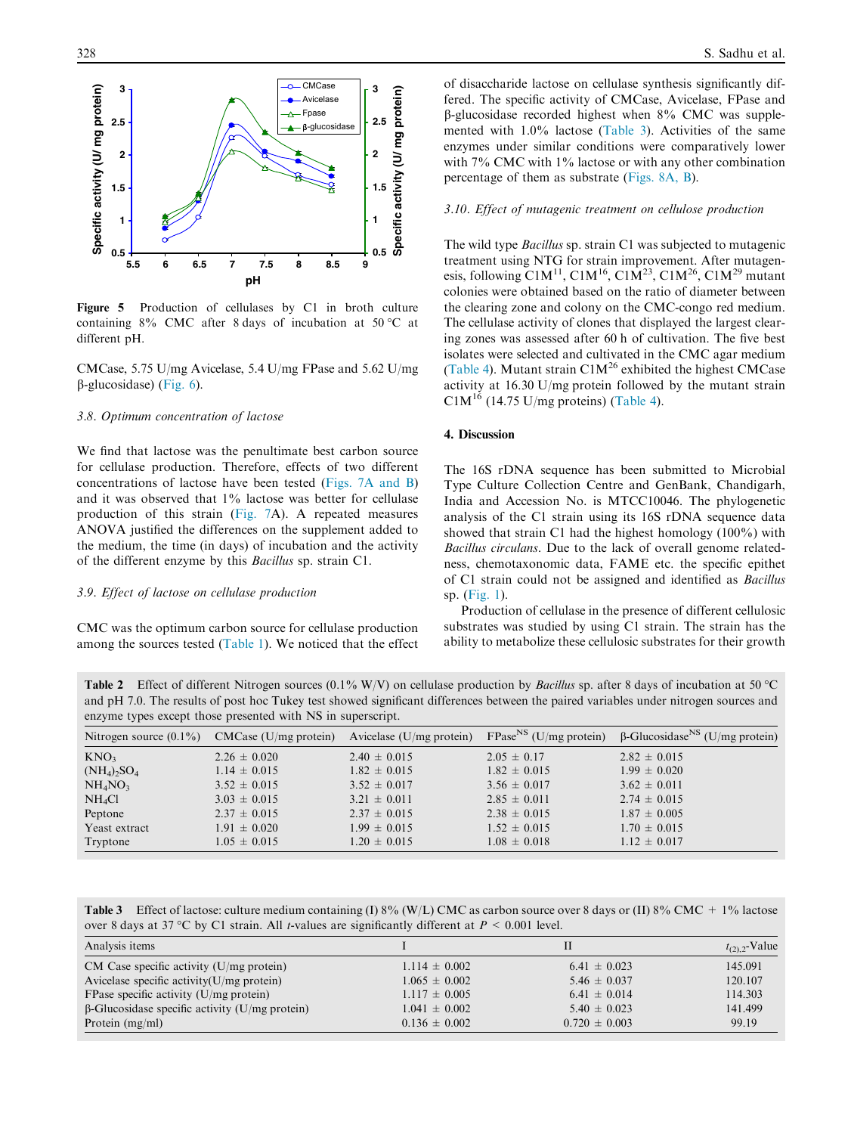

Figure 5 Production of cellulases by C1 in broth culture containing  $8\%$  CMC after 8 days of incubation at 50 °C at different pH.

CMCase, 5.75 U/mg Avicelase, 5.4 U/mg FPase and 5.62 U/mg  $\beta$ -glucosidase) (Fig. 6).

#### 3.8. Optimum concentration of lactose

We find that lactose was the penultimate best carbon source for cellulase production. Therefore, effects of two different concentrations of lactose have been tested (Figs. 7A and B) and it was observed that 1% lactose was better for cellulase production of this strain (Fig. 7A). A repeated measures ANOVA justified the differences on the supplement added to the medium, the time (in days) of incubation and the activity of the different enzyme by this Bacillus sp. strain C1.

#### 3.9. Effect of lactose on cellulase production

CMC was the optimum carbon source for cellulase production among the sources tested (Table 1). We noticed that the effect of disaccharide lactose on cellulase synthesis significantly differed. The specific activity of CMCase, Avicelase, FPase and b-glucosidase recorded highest when 8% CMC was supplemented with 1.0% lactose (Table 3). Activities of the same enzymes under similar conditions were comparatively lower with 7% CMC with 1% lactose or with any other combination percentage of them as substrate (Figs. 8A, B).

#### 3.10. Effect of mutagenic treatment on cellulose production

The wild type Bacillus sp. strain C1 was subjected to mutagenic treatment using NTG for strain improvement. After mutagenesis, following C1M<sup>11</sup>, C1M<sup>16</sup>, C1M<sup>23</sup>, C1M<sup>26</sup>, C1M<sup>29</sup> mutant colonies were obtained based on the ratio of diameter between the clearing zone and colony on the CMC-congo red medium. The cellulase activity of clones that displayed the largest clearing zones was assessed after 60 h of cultivation. The five best isolates were selected and cultivated in the CMC agar medium (Table 4). Mutant strain  $C1M^{26}$  exhibited the highest CMCase activity at 16.30 U/mg protein followed by the mutant strain  $CM<sup>16</sup>$  (14.75 U/mg proteins) (Table 4).

#### 4. Discussion

The 16S rDNA sequence has been submitted to Microbial Type Culture Collection Centre and GenBank, Chandigarh, India and Accession No. is MTCC10046. The phylogenetic analysis of the C1 strain using its 16S rDNA sequence data showed that strain C1 had the highest homology (100%) with Bacillus circulans. Due to the lack of overall genome relatedness, chemotaxonomic data, FAME etc. the specific epithet of C1 strain could not be assigned and identified as Bacillus sp. (Fig. 1).

Production of cellulase in the presence of different cellulosic substrates was studied by using C1 strain. The strain has the ability to metabolize these cellulosic substrates for their growth

Table 2 Effect of different Nitrogen sources (0.1% W/V) on cellulase production by Bacillus sp. after 8 days of incubation at 50 °C and pH 7.0. The results of post hoc Tukey test showed significant differences between the paired variables under nitrogen sources and enzyme types except those presented with NS in superscript.

| Nitrogen source $(0.1\%)$             | $CMCase$ (U/mg protein) | Avicelase $(U/mg$ protein) | $FPaseNS$ (U/mg protein) | $\beta$ -Glucosidase <sup>NS</sup> (U/mg protein) |
|---------------------------------------|-------------------------|----------------------------|--------------------------|---------------------------------------------------|
| KNO <sub>3</sub>                      | $2.26 \pm 0.020$        | $2.40 \pm 0.015$           | $2.05 \pm 0.17$          | $2.82 \pm 0.015$                                  |
| $(NH_4)$ <sub>2</sub> SO <sub>4</sub> | $1.14 \pm 0.015$        | $1.82 \pm 0.015$           | $1.82 \pm 0.015$         | $1.99 \pm 0.020$                                  |
| NH <sub>4</sub> NO <sub>3</sub>       | $3.52 \pm 0.015$        | $3.52 \pm 0.017$           | $3.56 \pm 0.017$         | $3.62 \pm 0.011$                                  |
| NH <sub>4</sub> Cl                    | $3.03 \pm 0.015$        | $3.21 \pm 0.011$           | $2.85 \pm 0.011$         | $2.74 \pm 0.015$                                  |
| Peptone                               | $2.37 \pm 0.015$        | $2.37 \pm 0.015$           | $2.38 \pm 0.015$         | $1.87 \pm 0.005$                                  |
| Yeast extract                         | $1.91 \pm 0.020$        | $1.99 \pm 0.015$           | $1.52 \pm 0.015$         | $1.70 \pm 0.015$                                  |
| Tryptone                              | $1.05 \pm 0.015$        | $1.20 \pm 0.015$           | $1.08 \pm 0.018$         | $1.12 \pm 0.017$                                  |

**Table 3** Effect of lactose: culture medium containing (I) 8% (W/L) CMC as carbon source over 8 days or (II) 8% CMC + 1% lactose over 8 days at 37 °C by C1 strain. All *t*-values are significantly different at  $P < 0.001$  level.

| Analysis items                                        |                   |                   | $t_{(2),2}$ -Value |
|-------------------------------------------------------|-------------------|-------------------|--------------------|
| CM Case specific activity $(U/mg)$ protein)           | $1.114 \pm 0.002$ | $6.41 \pm 0.023$  | 145.091            |
| Avicelase specific activity $(U/mg)$ protein)         | $1.065 \pm 0.002$ | $5.46 \pm 0.037$  | 120.107            |
| FPase specific activity $(U/mg)$ protein)             | $1.117 \pm 0.005$ | $6.41 \pm 0.014$  | 114.303            |
| $\beta$ -Glucosidase specific activity (U/mg protein) | $1.041 \pm 0.002$ | $5.40 \pm 0.023$  | 141.499            |
| Protein $(mg/ml)$                                     | $0.136 \pm 0.002$ | $0.720 \pm 0.003$ | 99.19              |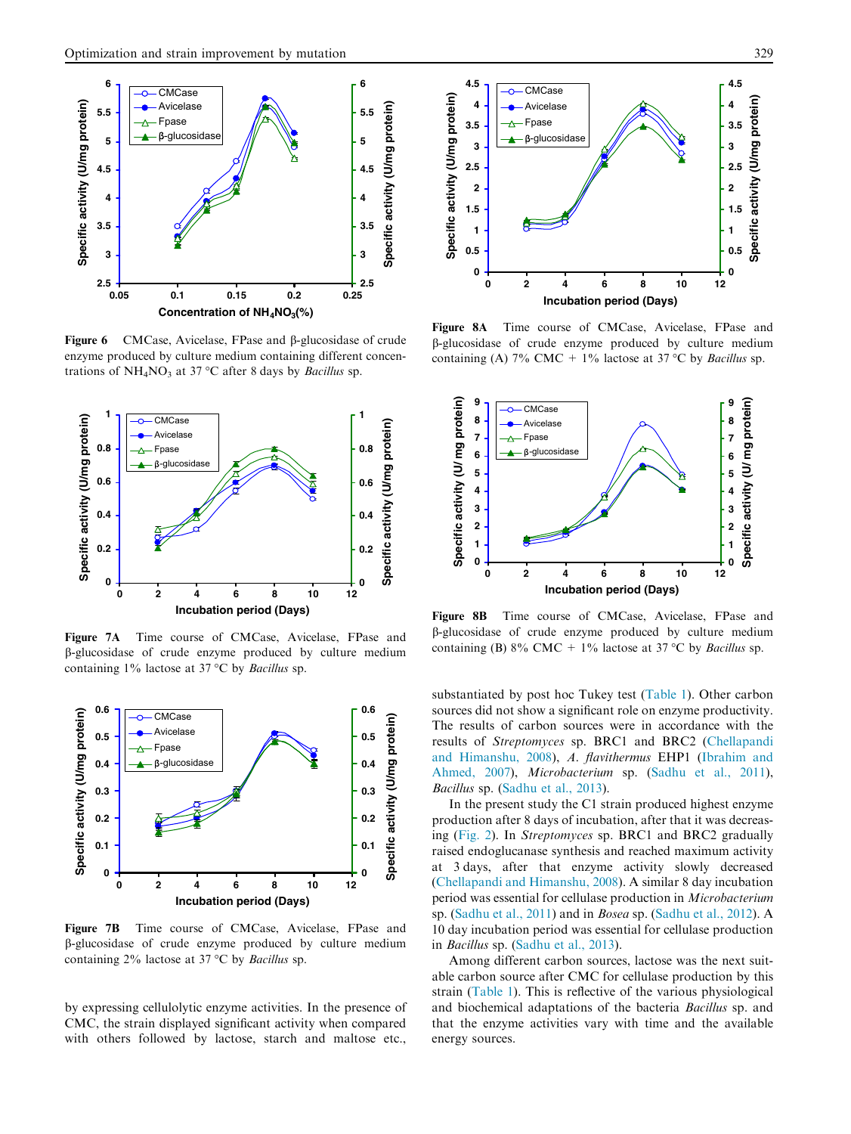

Figure 6 CMCase, Avicelase, FPase and b-glucosidase of crude enzyme produced by culture medium containing different concentrations of  $NH_4NO_3$  at 37 °C after 8 days by *Bacillus* sp.



Figure 7A Time course of CMCase, Avicelase, FPase and b-glucosidase of crude enzyme produced by culture medium containing  $1\%$  lactose at 37 °C by *Bacillus* sp.



Figure 7B Time course of CMCase, Avicelase, FPase and b-glucosidase of crude enzyme produced by culture medium containing  $2\%$  lactose at  $37 °C$  by *Bacillus* sp.

by expressing cellulolytic enzyme activities. In the presence of CMC, the strain displayed significant activity when compared with others followed by lactose, starch and maltose etc.,



Figure 8A Time course of CMCase, Avicelase, FPase and b-glucosidase of crude enzyme produced by culture medium containing (A)  $7\%$  CMC + 1% lactose at 37 °C by *Bacillus* sp.



Figure 8B Time course of CMCase, Avicelase, FPase and b-glucosidase of crude enzyme produced by culture medium containing (B) 8% CMC + 1% lactose at 37 °C by *Bacillus* sp.

substantiated by post hoc Tukey test (Table 1). Other carbon sources did not show a significant role on enzyme productivity. The results of carbon sources were in accordance with the results of Streptomyces sp. BRC1 and BRC2 (Chellapandi and Himanshu, 2008), A. flavithermus EHP1 (Ibrahim and Ahmed, 2007), Microbacterium sp. (Sadhu et al., 2011), Bacillus sp. (Sadhu et al., 2013).

In the present study the C1 strain produced highest enzyme production after 8 days of incubation, after that it was decreasing (Fig. 2). In Streptomyces sp. BRC1 and BRC2 gradually raised endoglucanase synthesis and reached maximum activity at 3 days, after that enzyme activity slowly decreased (Chellapandi and Himanshu, 2008). A similar 8 day incubation period was essential for cellulase production in Microbacterium sp. (Sadhu et al., 2011) and in Bosea sp. (Sadhu et al., 2012). A 10 day incubation period was essential for cellulase production in Bacillus sp. (Sadhu et al., 2013).

Among different carbon sources, lactose was the next suitable carbon source after CMC for cellulase production by this strain (Table 1). This is reflective of the various physiological and biochemical adaptations of the bacteria Bacillus sp. and that the enzyme activities vary with time and the available energy sources.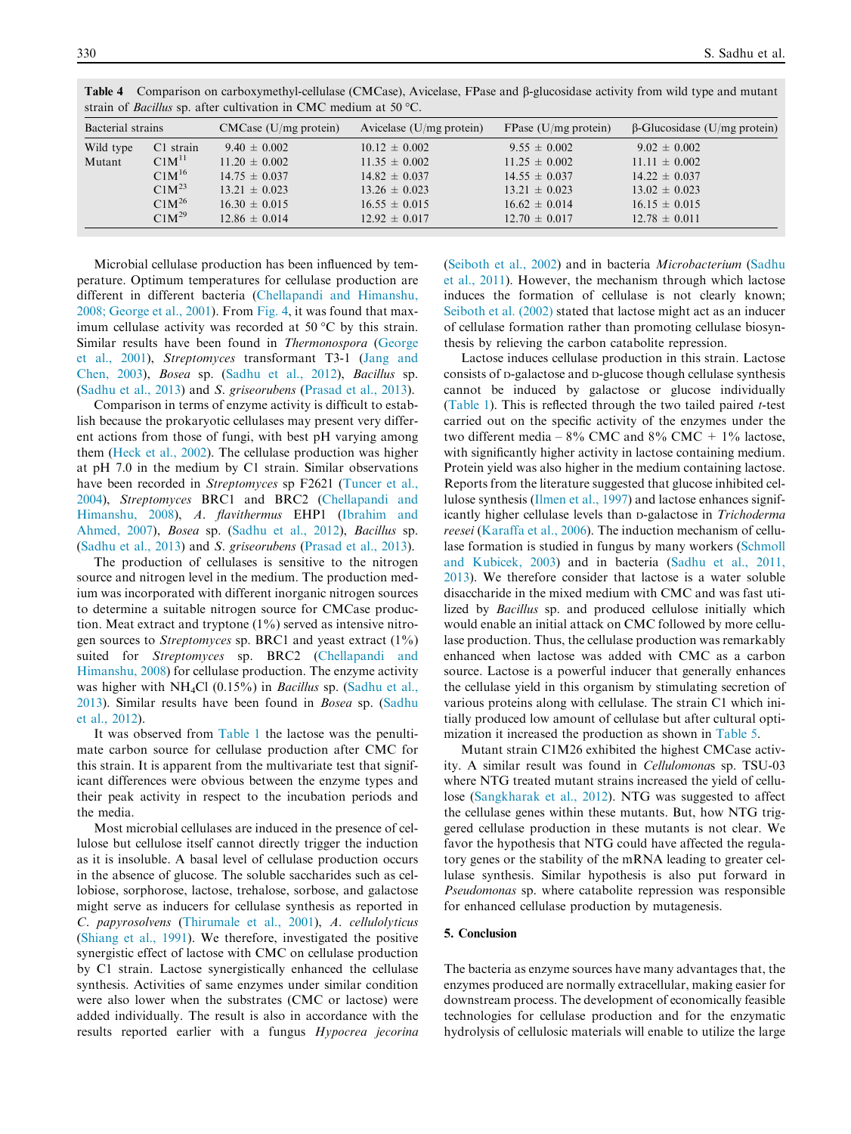| Bacterial strains |                   | $CMCase$ (U/mg protein) | Avicelase $(U/mg$ protein) | FPase $(U/mg$ protein) | $\beta$ -Glucosidase (U/mg protein) |
|-------------------|-------------------|-------------------------|----------------------------|------------------------|-------------------------------------|
| Wild type         | C1 strain         | $9.40 \pm 0.002$        | $10.12 \pm 0.002$          | $9.55 \pm 0.002$       | $9.02 \pm 0.002$                    |
| Mutant            | C1M <sup>11</sup> | $11.20 \pm 0.002$       | $11.35 \pm 0.002$          | $11.25 \pm 0.002$      | $11.11 \pm 0.002$                   |
|                   | $C1M^{16}$        | $14.75 \pm 0.037$       | $14.82 \pm 0.037$          | $14.55 \pm 0.037$      | $14.22 \pm 0.037$                   |
|                   | C1M <sup>23</sup> | $13.21 \pm 0.023$       | $13.26 \pm 0.023$          | $13.21 \pm 0.023$      | $13.02 \pm 0.023$                   |
|                   | $C1M^{26}$        | $16.30 \pm 0.015$       | $16.55 \pm 0.015$          | $16.62 \pm 0.014$      | $16.15 \pm 0.015$                   |
|                   | $C1M^{29}$        | $12.86 \pm 0.014$       | $12.92 \pm 0.017$          | $12.70 \pm 0.017$      | $12.78 \pm 0.011$                   |

Table 4 Comparison on carboxymethyl-cellulase (CMCase), Avicelase, FPase and b-glucosidase activity from wild type and mutant strain of Bacillus sp. after cultivation in CMC medium at 50  $^{\circ}$ C.

Microbial cellulase production has been influenced by temperature. Optimum temperatures for cellulase production are different in different bacteria (Chellapandi and Himanshu, 2008; George et al., 2001). From Fig. 4, it was found that maximum cellulase activity was recorded at 50  $^{\circ}$ C by this strain. Similar results have been found in Thermonospora (George et al., 2001), Streptomyces transformant T3-1 (Jang and Chen, 2003), Bosea sp. (Sadhu et al., 2012), Bacillus sp. (Sadhu et al., 2013) and S. griseorubens (Prasad et al., 2013).

Comparison in terms of enzyme activity is difficult to establish because the prokaryotic cellulases may present very different actions from those of fungi, with best pH varying among them (Heck et al., 2002). The cellulase production was higher at pH 7.0 in the medium by C1 strain. Similar observations have been recorded in *Streptomyces* sp F2621 (Tuncer et al., 2004), Streptomyces BRC1 and BRC2 (Chellapandi and Himanshu, 2008), A. flavithermus EHP1 (Ibrahim and Ahmed, 2007), Bosea sp. (Sadhu et al., 2012), Bacillus sp. (Sadhu et al., 2013) and S. griseorubens (Prasad et al., 2013).

The production of cellulases is sensitive to the nitrogen source and nitrogen level in the medium. The production medium was incorporated with different inorganic nitrogen sources to determine a suitable nitrogen source for CMCase production. Meat extract and tryptone  $(1\%)$  served as intensive nitrogen sources to Streptomyces sp. BRC1 and yeast extract (1%) suited for Streptomyces sp. BRC2 (Chellapandi and Himanshu, 2008) for cellulase production. The enzyme activity was higher with NH<sub>4</sub>Cl (0.15%) in *Bacillus* sp. (Sadhu et al., 2013). Similar results have been found in Bosea sp. (Sadhu et al., 2012).

It was observed from Table 1 the lactose was the penultimate carbon source for cellulase production after CMC for this strain. It is apparent from the multivariate test that significant differences were obvious between the enzyme types and their peak activity in respect to the incubation periods and the media.

Most microbial cellulases are induced in the presence of cellulose but cellulose itself cannot directly trigger the induction as it is insoluble. A basal level of cellulase production occurs in the absence of glucose. The soluble saccharides such as cellobiose, sorphorose, lactose, trehalose, sorbose, and galactose might serve as inducers for cellulase synthesis as reported in C. papyrosolvens (Thirumale et al., 2001), A. cellulolyticus (Shiang et al., 1991). We therefore, investigated the positive synergistic effect of lactose with CMC on cellulase production by C1 strain. Lactose synergistically enhanced the cellulase synthesis. Activities of same enzymes under similar condition were also lower when the substrates (CMC or lactose) were added individually. The result is also in accordance with the results reported earlier with a fungus Hypocrea jecorina (Seiboth et al., 2002) and in bacteria Microbacterium (Sadhu et al., 2011). However, the mechanism through which lactose induces the formation of cellulase is not clearly known; Seiboth et al. (2002) stated that lactose might act as an inducer of cellulase formation rather than promoting cellulase biosynthesis by relieving the carbon catabolite repression.

Lactose induces cellulase production in this strain. Lactose consists of <sup>D</sup>-galactose and <sup>D</sup>-glucose though cellulase synthesis cannot be induced by galactose or glucose individually (Table 1). This is reflected through the two tailed paired t-test carried out on the specific activity of the enzymes under the two different media –  $8\%$  CMC and  $8\%$  CMC +  $1\%$  lactose, with significantly higher activity in lactose containing medium. Protein yield was also higher in the medium containing lactose. Reports from the literature suggested that glucose inhibited cellulose synthesis (Ilmen et al., 1997) and lactose enhances significantly higher cellulase levels than <sup>D</sup>-galactose in Trichoderma reesei (Karaffa et al., 2006). The induction mechanism of cellulase formation is studied in fungus by many workers (Schmoll and Kubicek, 2003) and in bacteria (Sadhu et al., 2011, 2013). We therefore consider that lactose is a water soluble disaccharide in the mixed medium with CMC and was fast utilized by Bacillus sp. and produced cellulose initially which would enable an initial attack on CMC followed by more cellulase production. Thus, the cellulase production was remarkably enhanced when lactose was added with CMC as a carbon source. Lactose is a powerful inducer that generally enhances the cellulase yield in this organism by stimulating secretion of various proteins along with cellulase. The strain C1 which initially produced low amount of cellulase but after cultural optimization it increased the production as shown in Table 5.

Mutant strain C1M26 exhibited the highest CMCase activity. A similar result was found in Cellulomonas sp. TSU-03 where NTG treated mutant strains increased the yield of cellulose (Sangkharak et al., 2012). NTG was suggested to affect the cellulase genes within these mutants. But, how NTG triggered cellulase production in these mutants is not clear. We favor the hypothesis that NTG could have affected the regulatory genes or the stability of the mRNA leading to greater cellulase synthesis. Similar hypothesis is also put forward in Pseudomonas sp. where catabolite repression was responsible for enhanced cellulase production by mutagenesis.

#### 5. Conclusion

The bacteria as enzyme sources have many advantages that, the enzymes produced are normally extracellular, making easier for downstream process. The development of economically feasible technologies for cellulase production and for the enzymatic hydrolysis of cellulosic materials will enable to utilize the large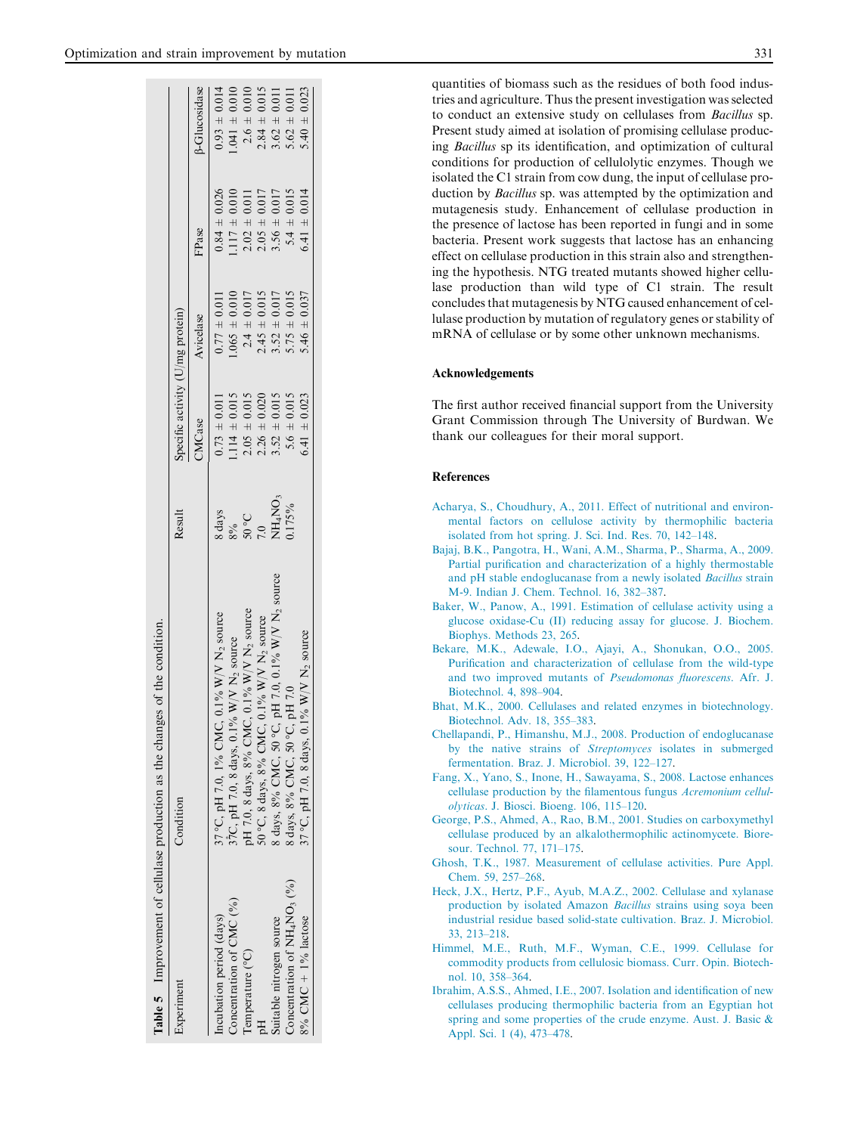$.041 \pm 0.010$  $2.6 \pm 0.010$  $2.84 \pm 0.015$  quantities of biomass such as the residues of both food industries and agriculture. Thus the present investigation was selected to conduct an extensive study on cellulases from Bacillus sp. Present study aimed at isolation of promising cellulase producing Bacillus sp its identification, and optimization of cultural conditions for production of cellulolytic enzymes. Though we isolated the C1 strain from cow dung, the input of cellulase production by Bacillus sp. was attempted by the optimization and mutagenesis study. Enhancement of cellulase production in the presence of lactose has been reported in fungi and in some bacteria. Present work suggests that lactose has an enhancing effect on cellulase production in this strain also and strengthening the hypothesis. NTG treated mutants showed higher cellulase production than wild type of C1 strain. The result concludes that mutagenesis by NTG caused enhancement of cellulase production by mutation of regulatory genes or stability of mRNA of cellulase or by some other unknown mechanisms.

#### Acknowledgements

The first author received financial support from the University Grant Commission through The University of Burdwan. We thank our colleagues for their moral support.

#### References

- Acharya, S., Choudhury, A., 2011. Effect of nutritional and environmental factors on cellulose activity by thermophilic bacteria isolated from hot spring. J. Sci. Ind. Res. 70, 142–148.
- Bajaj, B.K., Pangotra, H., Wani, A.M., Sharma, P., Sharma, A., 2009. Partial purification and characterization of a highly thermostable and pH stable endoglucanase from a newly isolated Bacillus strain M-9. Indian J. Chem. Technol. 16, 382–387.
- Baker, W., Panow, A., 1991. Estimation of cellulase activity using a glucose oxidase-Cu (II) reducing assay for glucose. J. Biochem. Biophys. Methods 23, 265.
- Bekare, M.K., Adewale, I.O., Ajayi, A., Shonukan, O.O., 2005. Purification and characterization of cellulase from the wild-type and two improved mutants of Pseudomonas fluorescens. Afr. J. Biotechnol. 4, 898–904.
- Bhat, M.K., 2000. Cellulases and related enzymes in biotechnology. Biotechnol. Adv. 18, 355–383.
- Chellapandi, P., Himanshu, M.J., 2008. Production of endoglucanase by the native strains of Streptomyces isolates in submerged fermentation. Braz. J. Microbiol. 39, 122–127.
- Fang, X., Yano, S., Inone, H., Sawayama, S., 2008. Lactose enhances cellulase production by the filamentous fungus Acremonium cellulolyticas. J. Biosci. Bioeng. 106, 115–120.
- George, P.S., Ahmed, A., Rao, B.M., 2001. Studies on carboxymethyl cellulase produced by an alkalothermophilic actinomycete. Bioresour. Technol. 77, 171–175.
- Ghosh, T.K., 1987. Measurement of cellulase activities. Pure Appl. Chem. 59, 257–268.
- Heck, J.X., Hertz, P.F., Ayub, M.A.Z., 2002. Cellulase and xylanase production by isolated Amazon Bacillus strains using soya been industrial residue based solid-state cultivation. Braz. J. Microbiol. 33, 213–218.
- Himmel, M.E., Ruth, M.F., Wyman, C.E., 1999. Cellulase for commodity products from cellulosic biomass. Curr. Opin. Biotechnol. 10, 358–364.
- Ibrahim, A.S.S., Ahmed, I.E., 2007. Isolation and identification of new cellulases producing thermophilic bacteria from an Egyptian hot spring and some properties of the crude enzyme. Aust. J. Basic & Appl. Sci. 1 (4), 473–478.

|                            | Table 5 Improvement of cellulase production as the changes of the condition. |        |                                  |                  |                   |                      |
|----------------------------|------------------------------------------------------------------------------|--------|----------------------------------|------------------|-------------------|----------------------|
| Experiment                 | Condition                                                                    | Result | Specific activity (U/mg protein) |                  |                   |                      |
|                            |                                                                              |        | <b>CM</b> Case                   | Avicelase        | FPase             | <b>B-Glucosidase</b> |
| ncubation period (days)    | 37 °C, pH 7.0, 1% CMC, 0.1% W/V N <sub>2</sub> source                        | 8 days | $0.73 \pm 0.011$                 | $0.77 \pm 0.011$ | $0.84 \pm 0.026$  | $0.93 \pm 0.014$     |
| Concentration of $CMC$ (%) | 37C, pH 7.0, 8 days, 0.1% W/V $N_2$ source                                   |        | $1.114 \pm 0.015$                | $.065 \pm 0.010$ | $1.117 \pm 0.010$ | $1.041 \pm 0.010$    |

Concentration of CMC (%) 3<sup>7</sup>C, pH 7.0, 8 days, 0.1% W/V N<sub>2</sub> source 8% 1.114 ± 0.015 1.065 ± 0.010 1.117 ± 0.010 1.041 ± 0.010

 $2\circ 05$  $0.7$ 

 $C$  2.05  $\pm$  0.015  $2.015$   $2.015$   $2.015$   $2.010$   $2.010$   $2.010$   $2.010$ 

 $\pm$  0.011  $1.065 \pm 0.010$  $2.4 \pm 0.017$  $2.45 \pm 0.015$ 

 $2.05 \pm 0.017$  $3.56 \pm 0.017$  $5.4 \pm 0.015$ 

 $2.02 \pm 0.011$  $1.117 \pm 0.010$  $0.84 \pm 0.026$ 

C, 8.8 days, 8.8 days 2.27 N/V N/V N/V N/V N/V 2.27 2.27 2.017 2.27 2.015 2.015 2.017 2.84 ± 0.017 2.84 ± 0.017

 $NH<sub>4</sub>NO<sub>3</sub>$ 0.175%

 $2.26 \pm 0.020$  $5.6 \pm 0.015$  $6.41 \pm 0.023$ 

 $2.05 \pm 0.015$  $3.52 \pm 0.015$ 

C, pH 7.0, 0.1% W/V N2 source NH4NO<sub>3</sub> 3.52 ± 0.015 3.52 ± 0.017 3.52 ± 0.017 3.56 ± 0.017 3.56 ± 0.017 3.62 ± 0.01<br>C, pH 7.03.56 ± 0.017 3.52 ± 0.017 3.52 ± 0.017 3.52 ± 0.017 = 0.017 = 0.017 = 0.017 = 0.019 = 0.019 = 0.0

C, pH 7.0 0.012 = 0.015 5.75 ± 0.015 5.75 ± 0.015 5.75 ± 0.015 5.75 ± 0.015 5.75 ± 0.017 5.4 ± 0.015 5.75 ± 0.

 $3.52 \pm 0.017$ <br> $5.75 \pm 0.015$ <br> $5.46 \pm 0.037$ 

 $\pm 0.023$ 

 $6.41 \pm 0.014$ 

 $3.62 \pm 0.011$  $5.62 \pm 0.011$  $5.40$ 

C, pH 7.0, 9.1, 2.023 A, 9.1, 2.023 6.023 5.023 5.023. A, 2.023 5.023 5.023 5.41 ± 0.0237 6.41 ± 0.0237 6.41 ± 0.023

C) pH 7.0, 8 days, 8% collection  $\sum_{i=1}^{n} N_i$  N/V  $\sum_{i=1}^{n} N_i$  and  $\sum_{i=1}^{n} N_i$ 

pH 7.0, 8 days, 8% CMC, 0.1% W/V N<sub>2</sub> source 50 °C, 8 days, 8% CMC, 0.1% W/V N<sub>2</sub> source

8 days, 8% CMC, 50 °C, pH 7.0, 0.1% W/V N<sub>2</sub> source

37 °C, pH 7.0, 8 days, 0.1% W/V N<sub>2</sub> source

8 days, 8% CMC, 50 °C, pH 7.0

Temperature (°

Eq

Temperature (°C)

 $50^{\circ}$ 

Suitable nitrogen source 8 days, 8% CMC, 50 -

Concentration of NH<sub>4</sub>NO<sub>3</sub> (%) 8 days, 8% CMC, 50  $^{\circ}$  6 cm  $\sim$  3.

Concentration of  $NH_4NO_3$  (%)

Suitable nitrogen source

 $8\%$  CMC + 1% lactose 37°

 $8\%$  CMC +  $1\%$  lactose